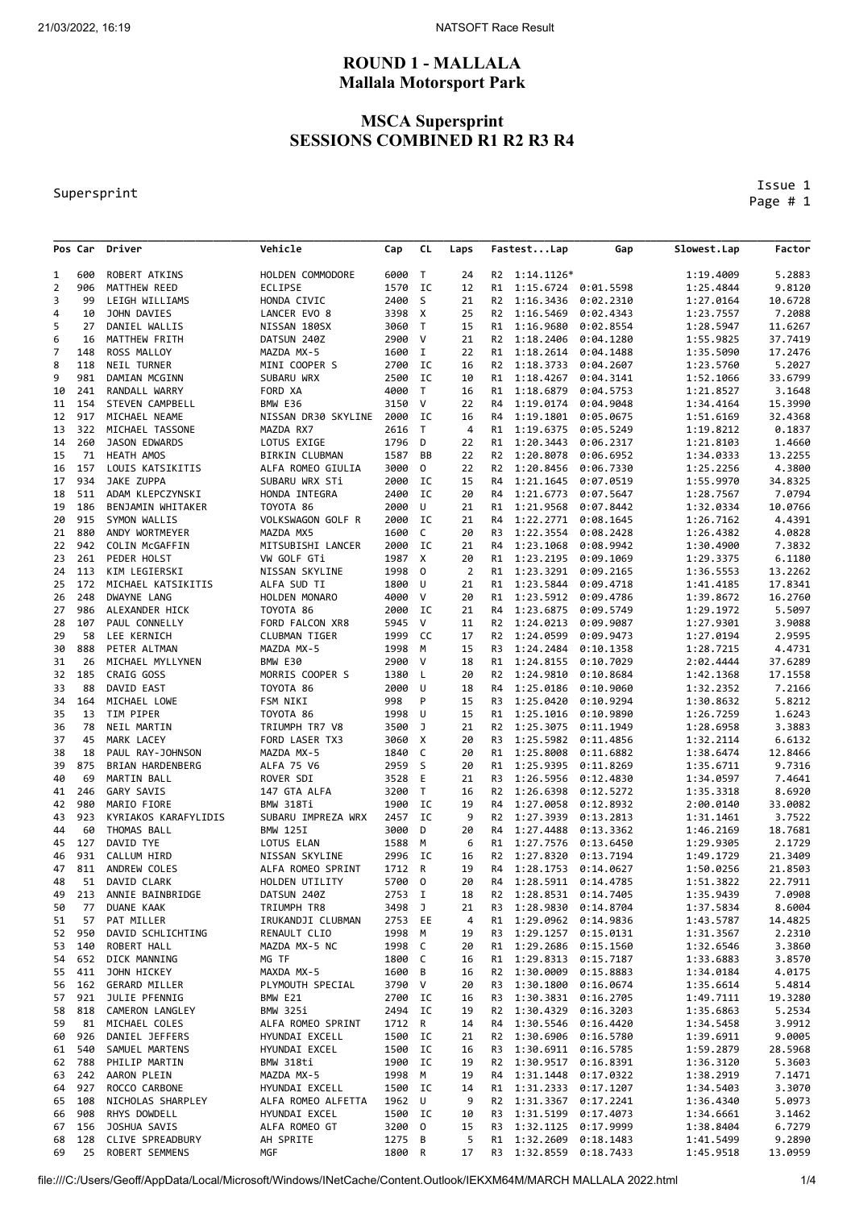# **ROUND 1 - MALLALA Mallala Motorsport Park**

### **MSCA Supersprint SESSIONS COMBINED R1 R2 R3 R4**

#### Supersprint

 Issue 1 Page # 1

|                |        | Pos Car Driver                 | Vehicle                    | Cap            | CL             | Laps           |                | FastestLap                                 | Gap       | Slowest.Lap            | Factor             |
|----------------|--------|--------------------------------|----------------------------|----------------|----------------|----------------|----------------|--------------------------------------------|-----------|------------------------|--------------------|
| 1              | 600    | ROBERT ATKINS                  | HOLDEN COMMODORE           | 6000           | $\mathsf{T}$   | 24             |                | R2 1:14.1126*                              |           | 1:19.4009              | 5.2883             |
| $\overline{2}$ | 906    | MATTHEW REED                   | <b>ECLIPSE</b>             | 1570           | IC             | 12             | R1             | 1:15.6724                                  | 0:01.5598 | 1:25.4844              | 9.8120             |
| 3              | 99     | LEIGH WILLIAMS                 | HONDA CIVIC                | 2400           | S              | 21             | R2             | 1:16.3436                                  | 0:02.2310 | 1:27.0164              | 10.6728            |
| 4              | 10     | <b>JOHN DAVIES</b>             | LANCER EVO 8               | 3398           | X              | 25             | R2             | 1:16.5469                                  | 0:02.4343 | 1:23.7557              | 7.2088             |
| 5              | 27     | DANIEL WALLIS                  | NISSAN 180SX               | 3060           | $\top$         | 15             | R1             | 1:16.9680                                  | 0:02.8554 | 1:28.5947              | 11.6267            |
| 6              | 16     | MATTHEW FRITH                  | DATSUN 240Z                | 2900           | V              | 21             | R2             | 1:18.2406                                  | 0:04.1280 | 1:55.9825              | 37.7419            |
| $\overline{7}$ | 148    | ROSS MALLOY                    | MAZDA MX-5                 | 1600           | I              | 22             | R1             | 1:18.2614                                  | 0:04.1488 | 1:35.5090              | 17.2476            |
| 8              | 118    | NEIL TURNER                    | MINI COOPER S              | 2700           | IC             | 16             | R2             | 1:18.3733                                  | 0:04.2607 | 1:23.5760              | 5.2027             |
| 9              | 981    | DAMIAN MCGINN                  | SUBARU WRX                 | 2500           | IC             | 10             | R1             | 1:18.4267                                  | 0:04.3141 | 1:52.1066              | 33.6799            |
| 10             | 241    | RANDALL WARRY                  | FORD XA                    | 4000           | T              | 16             | R1             | 1:18.6879                                  | 0:04.5753 | 1:21.8527              | 3.1648             |
| 11             | 154    | STEVEN CAMPBELL                | BMW E36                    | 3150           | V              | 22             | R4             | 1:19.0174                                  | 0:04.9048 | 1:34.4164              | 15.3990            |
| 12             | 917    | MICHAEL NEAME                  | NISSAN DR30 SKYLINE        | 2000           | IC             | 16             | R4             | 1:19.1801                                  | 0:05.0675 | 1:51.6169              | 32.4368            |
| 13             | 322    | MICHAEL TASSONE                | MAZDA RX7                  | 2616           | $\mathsf T$    | 4              | R1             | 1:19.6375                                  | 0:05.5249 | 1:19.8212              | 0.1837             |
| 14             | 260    | JASON EDWARDS                  | LOTUS EXIGE                | 1796           | D              | 22             | R1             | 1:20.3443                                  | 0:06.2317 | 1:21.8103              | 1.4660             |
| 15             | 71     | HEATH AMOS                     | <b>BIRKIN CLUBMAN</b>      | 1587           | BB             | 22             | R2             | 1:20.8078                                  | 0:06.6952 | 1:34.0333              | 13.2255            |
| 16             | 157    | LOUIS KATSIKITIS               | ALFA ROMEO GIULIA          | 3000           | 0              | 22             | R2             | 1:20.8456                                  | 0:06.7330 | 1:25.2256              | 4.3800             |
| 17             | 934    | JAKE ZUPPA                     | SUBARU WRX STi             | 2000           | IC             | 15             | R4             | 1:21.1645                                  | 0:07.0519 | 1:55.9970              | 34.8325            |
| 18             | 511    | ADAM KLEPCZYNSKI               | HONDA INTEGRA              | 2400           | IC             | 20             | R4             | 1:21.6773                                  | 0:07.5647 | 1:28.7567              | 7.0794             |
| 19             | 186    | BENJAMIN WHITAKER              | TOYOTA 86                  | 2000           | U              | 21             | R1             | 1:21.9568                                  | 0:07.8442 | 1:32.0334              | 10.0766            |
| 20             | 915    | SYMON WALLIS                   | VOLKSWAGON GOLF R          | 2000           | IC             | 21             | R4             | 1:22.2771                                  | 0:08.1645 | 1:26.7162              | 4.4391             |
| 21             | 880    | ANDY WORTMEYER                 | MAZDA MX5                  | 1600           | C              | 20             | R3             | 1:22.3554                                  | 0:08.2428 | 1:26.4382              | 4.0828             |
| 22             | 942    | <b>COLIN MCGAFFIN</b>          | MITSUBISHI LANCER          | 2000           | IC             | 21             | R4             | 1:23.1068                                  | 0:08.9942 | 1:30.4900              | 7.3832             |
| 23             | 261    | PEDER HOLST                    | VW GOLF GTi                | 1987           | X              | 20             | R1             | 1:23.2195                                  | 0:09.1069 | 1:29.3375              | 6.1180             |
| 24             | 113    | KIM LEGIERSKI                  | NISSAN SKYLINE             | 1998           | 0              | $\overline{2}$ | R1             | 1:23.3291                                  | 0:09.2165 | 1:36.5553              | 13.2262            |
| 25             | 172    | MICHAEL KATSIKITIS             | ALFA SUD TI                | 1800           | U              | 21             | R1             | 1:23.5844                                  | 0:09.4718 | 1:41.4185              | 17.8341            |
| 26             | 248    | DWAYNE LANG                    | HOLDEN MONARO              | 4000           | v              | 20             | R1             | 1:23.5912                                  | 0:09.4786 | 1:39.8672              | 16.2760            |
| 27             | 986    | ALEXANDER HICK                 | TOYOTA 86                  | 2000           | IC             | 21             | R4             | 1:23.6875                                  | 0:09.5749 | 1:29.1972              | 5.5097             |
| 28             | 107    | PAUL CONNELLY                  | FORD FALCON XR8            | 5945           | V              | 11             | R2             | 1:24.0213                                  | 0:09.9087 | 1:27.9301              | 3.9088             |
| 29             | 58     | LEE KERNICH                    | <b>CLUBMAN TIGER</b>       | 1999           | cc             | 17             | R2             | 1:24.0599                                  | 0:09.9473 | 1:27.0194              | 2.9595             |
| 30             | 888    | PETER ALTMAN                   | MAZDA MX-5                 | 1998           | M              | 15             | R3             | 1:24.2484                                  | 0:10.1358 | 1:28.7215              | 4.4731             |
| 31             | 26     | MICHAEL MYLLYNEN               | BMW E30                    | 2900           | V              | 18             | R1             | 1:24.8155                                  | 0:10.7029 | 2:02.4444              | 37.6289            |
| 32             | 185    | CRAIG GOSS                     | MORRIS COOPER S            | 1380           | L,             | 20             | R <sub>2</sub> | 1:24.9810                                  | 0:10.8684 | 1:42.1368              | 17.1558            |
| 33             | 88     | DAVID EAST                     | TOYOTA 86                  | 2000           | U              | 18             | R4             | 1:25.0186                                  | 0:10.9060 | 1:32.2352              | 7.2166             |
| 34             | 164    | MICHAEL LOWE                   | FSM NIKI                   | 998            | P              | 15             | R3             | 1:25.0420                                  | 0:10.9294 | 1:30.8632              | 5.8212             |
| 35             | 13     | TIM PIPER                      | TOYOTA 86                  | 1998           | U              | 15             | R1             | 1:25.1016                                  | 0:10.9890 | 1:26.7259              | 1.6243             |
| 36             | 78     | NEIL MARTIN                    | TRIUMPH TR7 V8             | 3500           | J              | 21             | R <sub>2</sub> | 1:25.3075                                  | 0:11.1949 | 1:28.6958              | 3.3883             |
| 37             | 45     | MARK LACEY                     | FORD LASER TX3             | 3060           | X              | 20             | R3             | 1:25.5982                                  | 0:11.4856 | 1:32.2114              | 6.6132             |
| 38             | 18     | PAUL RAY-JOHNSON               | MAZDA MX-5                 | 1840           | C              | 20             | R1             | 1:25.8008                                  | 0:11.6882 | 1:38.6474              | 12.8466            |
| 39             | 875    | BRIAN HARDENBERG               | ALFA 75 V6                 | 2959           | S              | 20             | R1             | 1:25.9395                                  | 0:11.8269 | 1:35.6711              | 9.7316             |
| 40             | 69     | MARTIN BALL                    | ROVER SDI                  | 3528           | Ε              | 21             | R3             | 1:26.5956                                  | 0:12.4830 | 1:34.0597              | 7.4641             |
| 41             | 246    | GARY SAVIS                     | 147 GTA ALFA               | 3200           | T              | 16             | R2             | 1:26.6398                                  | 0:12.5272 | 1:35.3318              | 8.6920             |
| 42             | 980    | MARIO FIORE                    | BMW 318Ti                  | 1900           | IC             | 19             | R4             | 1:27.0058                                  | 0:12.8932 | 2:00.0140              | 33.0082            |
| 43             | 923    | KYRIAKOS KARAFYLIDIS           | SUBARU IMPREZA WRX         | 2457           | IC             | 9              | R <sub>2</sub> | 1:27.3939                                  | 0:13.2813 | 1:31.1461              | 3.7522             |
| 44             | 60     | THOMAS BALL                    | <b>BMW 125I</b>            | 3000           | D              | 20             | R4             | 1:27.4488                                  | 0:13.3362 | 1:46.2169              | 18.7681            |
| 45             | 127    | DAVID TYE                      | LOTUS ELAN                 | 1588           | М              | 6              | R1             | 1:27.7576                                  | 0:13.6450 | 1:29.9305              | 2.1729             |
| 46             | 931    | <b>CALLUM HIRD</b>             | NISSAN SKYLINE             | 2996           | IC             | 16<br>19       | R <sub>2</sub> | 1:27.8320                                  | 0:13.7194 | 1:49.1729              | 21.3409            |
| 47             | 811    | ANDREW COLES<br>51 DAVID CLARK | ALFA ROMEO SPRINT          | 1712           | R              |                | R4             | 1:28.1753                                  | 0:14.0627 | 1:50.0256              | 21.8503<br>22.7911 |
| 48             | 213    |                                | HOLDEN UTILITY             | 5700 0         |                | 20             | R4             | 1:28.5911 0:14.4785<br>1:28.8531 0:14.7405 |           | 1:51.3822<br>1:35.9439 | 7.0908             |
| 49<br>50       | 77     | ANNIE BAINBRIDGE<br>DUANE KAAK | DATSUN 240Z<br>TRIUMPH TR8 | 2753 I<br>3498 | $\overline{J}$ | 18<br>21       | R2<br>R3       | 1:28.9830                                  | 0:14.8704 |                        | 8.6004             |
| 51             | 57     | PAT MILLER                     | IRUKANDJI CLUBMAN          | 2753 EE        |                | 4              | R1             | 1:29.0962 0:14.9836                        |           | 1:37.5834<br>1:43.5787 | 14.4825            |
| 52             | 950    | DAVID SCHLICHTING              | RENAULT CLIO               | 1998           | М              | 19             | R3             | 1:29.1257                                  | 0:15.0131 | 1:31.3567              | 2.2310             |
| 53             | 140    | ROBERT HALL                    | MAZDA MX-5 NC              | 1998           | C              | 20             | R1             | 1:29.2686                                  | 0:15.1560 | 1:32.6546              | 3.3860             |
| 54             |        | 652 DICK MANNING               | MG TF                      | 1800           | - C            | 16             | R1             | 1:29.8313                                  | 0:15.7187 | 1:33.6883              | 3.8570             |
| 55             | 411    | JOHN HICKEY                    | MAXDA MX-5                 | 1600           | В              | 16             | R2             | 1:30.0009                                  | 0:15.8883 | 1:34.0184              | 4.0175             |
| 56             | 162    | <b>GERARD MILLER</b>           | PLYMOUTH SPECIAL           | 3790 V         |                | 20             | R3             | 1:30.1800                                  | 0:16.0674 | 1:35.6614              | 5.4814             |
| 57             | 921    | JULIE PFENNIG                  | BMW E21                    | 2700 IC        |                | 16             | R3             | 1:30.3831 0:16.2705                        |           | 1:49.7111              | 19.3280            |
| 58             | 818    | CAMERON LANGLEY                | BMW 325i                   | 2494 IC        |                | 19             | R2             | 1:30.4329                                  | 0:16.3203 | 1:35.6863              | 5.2534             |
| 59             | 81     | MICHAEL COLES                  | ALFA ROMEO SPRINT          | 1712           | R              | 14             | R4             | 1:30.5546                                  | 0:16.4420 | 1:34.5458              | 3.9912             |
| 60             | 926    | DANIEL JEFFERS                 | HYUNDAI EXCELL             | 1500 IC        |                | 21             | R2             | 1:30.6906                                  | 0:16.5780 | 1:39.6911              | 9.0005             |
| 61             | 540    | SAMUEL MARTENS                 | HYUNDAI EXCEL              | 1500           | <b>IC</b>      | 16             | R3             | 1:30.6911 0:16.5785                        |           | 1:59.2879              | 28.5968            |
|                | 62 788 | PHILIP MARTIN                  | BMW 318ti                  | 1900           | IC             | 19             | R2             | 1:30.9517                                  | 0:16.8391 | 1:36.3120              | 5.3603             |
| 63             | 242    | AARON PLEIN                    | MAZDA MX-5                 | 1998           | M              | 19             | R4             | 1:31.1448                                  | 0:17.0322 | 1:38.2919              | 7.1471             |
| 64             | 927    | ROCCO CARBONE                  | HYUNDAI EXCELL             | 1500 IC        |                | 14             | R1             | 1:31.2333                                  | 0:17.1207 | 1:34.5403              | 3.3070             |
| 65             | 108    | NICHOLAS SHARPLEY              | ALFA ROMEO ALFETTA         | 1962 U         |                | 9              | R2             | 1:31.3367                                  | 0:17.2241 | 1:36.4340              | 5.0973             |
| 66             | 908    | RHYS DOWDELL                   | HYUNDAI EXCEL              | 1500 IC        |                | 10             | R3             | 1:31.5199                                  | 0:17.4073 | 1:34.6661              | 3.1462             |
| 67             | 156    | JOSHUA SAVIS                   | ALFA ROMEO GT              | 3200           | 0              | 15             | R3             | 1:32.1125                                  | 0:17.9999 | 1:38.8404              | 6.7279             |
| 68             | 128    | CLIVE SPREADBURY               | AH SPRITE                  | 1275           | B              | 5              | R1             | 1:32.2609                                  | 0:18.1483 | 1:41.5499              | 9.2890             |
| 69             | 25     | ROBERT SEMMENS                 | MGF                        | 1800 R         |                | 17             | R3             | 1:32.8559 0:18.7433                        |           | 1:45.9518              | 13.0959            |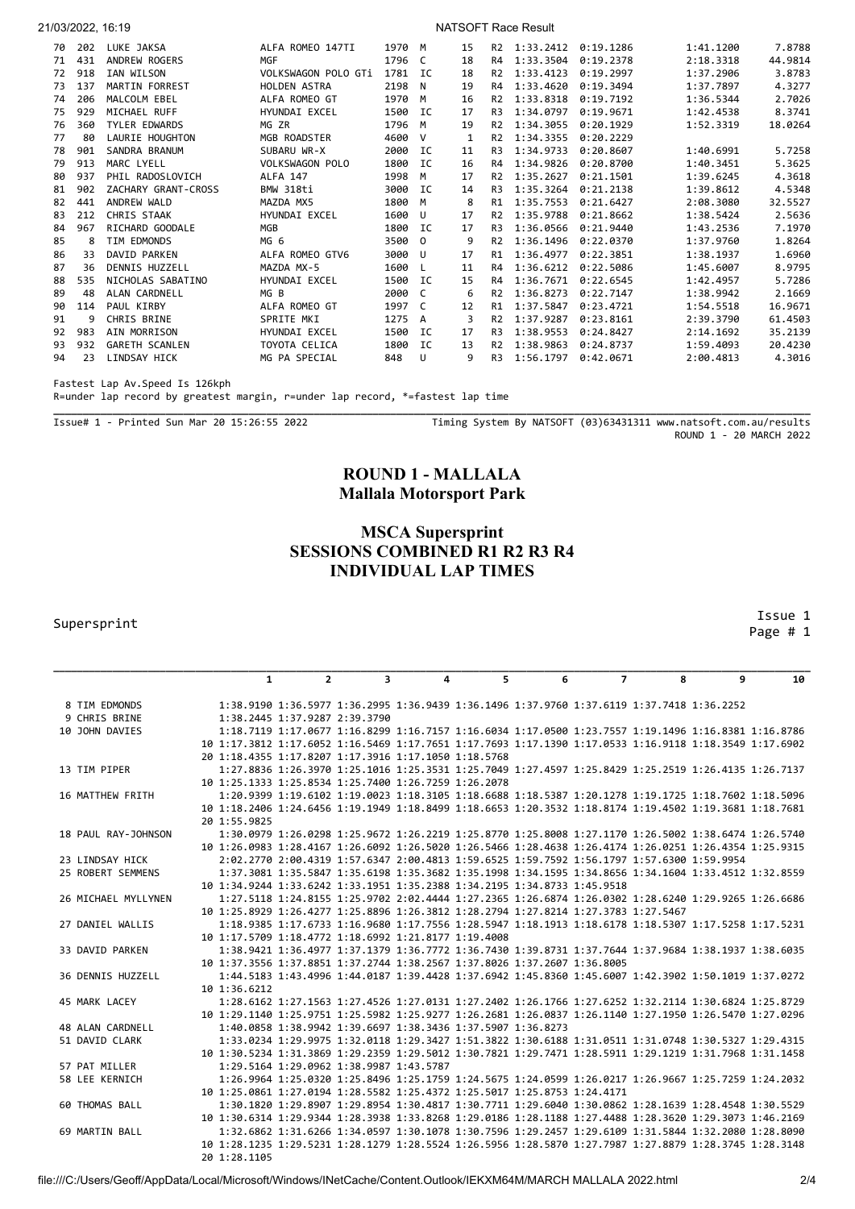| 21/03/2022, 16:19 |     |                       |                            | NATSOFT Race Result |           |    |                |                     |           |           |         |
|-------------------|-----|-----------------------|----------------------------|---------------------|-----------|----|----------------|---------------------|-----------|-----------|---------|
| 70                | 202 | LUKE JAKSA            | ALFA ROMEO 147TI           | 1970                | M         | 15 | R <sub>2</sub> | 1:33.2412 0:19.1286 |           | 1:41.1200 | 7.8788  |
| 71                | 431 | ANDREW ROGERS         | <b>MGF</b>                 | 1796                | C         | 18 | R4             | 1:33.3504           | 0:19.2378 | 2:18.3318 | 44.9814 |
| 72                | 918 | IAN WILSON            | <b>VOLKSWAGON POLO GTi</b> | 1781                | IC.       | 18 | R <sub>2</sub> | 1:33.4123           | 0:19.2997 | 1:37.2906 | 3.8783  |
| 73                | 137 | <b>MARTIN FORREST</b> | HOLDEN ASTRA               | 2198                | N         | 19 | R4             | 1:33.4620           | 0:19.3494 | 1:37.7897 | 4.3277  |
| 74                | 206 | MALCOLM EBEL          | ALFA ROMEO GT              | 1970                | M         | 16 | R <sub>2</sub> | 1:33.8318           | 0:19.7192 | 1:36.5344 | 2.7026  |
| 75                | 929 | MICHAEL RUFF          | HYUNDAI EXCEL              | 1500                | <b>IC</b> | 17 | R <sub>3</sub> | 1:34.0797           | 0:19.9671 | 1:42.4538 | 8.3741  |
| 76                | 360 | <b>TYLER EDWARDS</b>  | MG ZR                      | 1796                | м         | 19 | R <sub>2</sub> | 1:34.3055           | 0:20.1929 | 1:52.3319 | 18.0264 |
| 77                | 80  | LAURIE HOUGHTON       | MGB ROADSTER               | 4600                | v         | 1  | R <sub>2</sub> | 1:34.3355           | 0:20.2229 |           |         |
| 78                | 901 | SANDRA BRANUM         | SUBARU WR-X                | 2000                | IC        | 11 | R <sub>3</sub> | 1:34.9733           | 0:20.8607 | 1:40.6991 | 5.7258  |
| 79                | 913 | MARC LYELL            | <b>VOLKSWAGON POLO</b>     | 1800                | IC        | 16 | R4             | 1:34.9826           | 0:20.8700 | 1:40.3451 | 5.3625  |
| 80                | 937 | PHIL RADOSLOVICH      | <b>ALFA 147</b>            | 1998                | M         | 17 | R <sub>2</sub> | 1:35.2627           | 0:21.1501 | 1:39.6245 | 4.3618  |
| 81                | 902 | ZACHARY GRANT-CROSS   | BMW 318ti                  | 3000                | <b>IC</b> | 14 | R <sub>3</sub> | 1:35.3264           | 0:21.2138 | 1:39.8612 | 4.5348  |
| 82                | 441 | ANDREW WALD           | MAZDA MX5                  | 1800                | M         | 8  | R1             | 1:35.7553           | 0:21.6427 | 2:08.3080 | 32.5527 |
| 83                | 212 | CHRIS STAAK           | HYUNDAI EXCEL              | 1600                | U         | 17 | R <sub>2</sub> | 1:35.9788           | 0:21.8662 | 1:38.5424 | 2.5636  |
| 84                | 967 | RICHARD GOODALE       | MGB                        | 1800                | <b>IC</b> | 17 | R <sub>3</sub> | 1:36.0566           | 0:21.9440 | 1:43.2536 | 7.1970  |
| 85                | 8   | TIM EDMONDS           | MG <sub>6</sub>            | 3500                | $\Omega$  | 9  | R <sub>2</sub> | 1:36.1496           | 0:22.0370 | 1:37.9760 | 1.8264  |
| 86                | 33  | DAVID PARKEN          | ALFA ROMEO GTV6            | 3000                | U         | 17 | R1             | 1:36.4977           | 0:22.3851 | 1:38.1937 | 1.6960  |
| 87                | 36  | DENNIS HUZZELL        | MAZDA MX-5                 | 1600                | L         | 11 | R4             | 1:36.6212           | 0:22.5086 | 1:45.6007 | 8.9795  |
| 88                | 535 | NICHOLAS SABATINO     | HYUNDAI EXCEL              | 1500                | IC        | 15 | R4             | 1:36.7671           | 0:22.6545 | 1:42.4957 | 5.7286  |
| 89                | 48  | ALAN CARDNELL         | MG B                       | 2000                | C         | 6  | R <sub>2</sub> | 1:36.8273           | 0:22.7147 | 1:38.9942 | 2.1669  |
| 90                | 114 | PAUL KIRBY            | ALFA ROMEO GT              | 1997                | C         | 12 | R1             | 1:37.5847           | 0:23.4721 | 1:54.5518 | 16.9671 |
| 91                | 9   | CHRIS BRINE           | SPRITE MKI                 | 1275                | A         |    | R <sub>2</sub> | 1:37.9287           | 0:23.8161 | 2:39.3790 | 61.4503 |
| 92                | 983 | AIN MORRISON          | HYUNDAI EXCEL              | 1500                | IC        | 17 | R <sub>3</sub> | 1:38.9553           | 0:24.8427 | 2:14.1692 | 35.2139 |
| 93                | 932 | <b>GARETH SCANLEN</b> | TOYOTA CELICA              | 1800                | IC        | 13 | R <sub>2</sub> | 1:38.9863           | 0:24.8737 | 1:59.4093 | 20.4230 |
| 94                | 23  | LINDSAY HICK          | MG PA SPECIAL              | 848                 | U         | 9  | R <sub>3</sub> | 1:56.1797           | 0:42.0671 | 2:00.4813 | 4.3016  |

Fastest Lap Av.Speed Is 126kph

R=under lap record by greatest margin, r=under lap record, \*=fastest lap time

Issue# 1 - Printed Sun Mar 20 15:26:55 2022 Timing System By NATSOFT (03)63431311 www.natsoft.com.au/results ROUND 1 - 20 MARCH 2022

## **ROUND 1 - MALLALA Mallala Motorsport Park**

**\_\_\_\_\_\_\_\_\_\_\_\_\_\_\_\_\_\_\_\_\_\_\_\_\_\_\_\_\_\_\_\_\_\_\_\_\_\_\_\_\_\_\_\_\_\_\_\_\_\_\_\_\_\_\_\_\_\_\_\_\_\_\_\_\_\_\_\_\_\_\_\_\_\_\_\_\_\_\_\_\_\_\_\_\_\_\_\_\_\_\_\_\_\_\_\_\_\_\_\_\_\_\_\_\_\_\_\_\_\_\_\_\_\_\_\_\_\_\_\_\_\_\_\_\_\_\_\_**

# **MSCA Supersprint SESSIONS COMBINED R1 R2 R3 R4 INDIVIDUAL LAP TIMES**

#### Supersprint

 Issue 1 Page # 1

|                     | $\mathbf{1}$                                                                                           | $\overline{2}$ | $\overline{\mathbf{3}}$ | 4 | 5. | 6 | $\overline{7}$                                                                                      | 8 | 9 | 10 |
|---------------------|--------------------------------------------------------------------------------------------------------|----------------|-------------------------|---|----|---|-----------------------------------------------------------------------------------------------------|---|---|----|
|                     |                                                                                                        |                |                         |   |    |   |                                                                                                     |   |   |    |
| 8 TIM EDMONDS       |                                                                                                        |                |                         |   |    |   | 1:38.9190 1:36.5977 1:36.2995 1:36.9439 1:36.1496 1:37.9760 1:37.6119 1:37.7418 1:36.2252           |   |   |    |
| 9 CHRIS BRINE       | 1:38.2445 1:37.9287 2:39.3790                                                                          |                |                         |   |    |   |                                                                                                     |   |   |    |
| 10 JOHN DAVIES      |                                                                                                        |                |                         |   |    |   | 1:18.7119 1:17.0677 1:16.8299 1:16.7157 1:16.6034 1:17.0500 1:23.7557 1:19.1496 1:16.8381 1:16.8786 |   |   |    |
|                     | 10 1:17.3812 1:17.6052 1:16.5469 1:17.7651 1:17.7693 1:17.1390 1:17.0533 1:16.9118 1:18.3549 1:17.6902 |                |                         |   |    |   |                                                                                                     |   |   |    |
|                     | 20 1:18.4355 1:17.8207 1:17.3916 1:17.1050 1:18.5768                                                   |                |                         |   |    |   |                                                                                                     |   |   |    |
| 13 TIM PIPER        |                                                                                                        |                |                         |   |    |   | 1:27.8836 1:26.3970 1:25.1016 1:25.3531 1:25.7049 1:27.4597 1:25.8429 1:25.2519 1:26.4135 1:26.7137 |   |   |    |
|                     | 10 1:25.1333 1:25.8534 1:25.7400 1:26.7259 1:26.2078                                                   |                |                         |   |    |   |                                                                                                     |   |   |    |
| 16 MATTHEW FRITH    |                                                                                                        |                |                         |   |    |   | 1:20.9399 1:19.6102 1:19.0023 1:18.3105 1:18.6688 1:18.5387 1:20.1278 1:19.1725 1:18.7602 1:18.5096 |   |   |    |
|                     | 10 1:18.2406 1:24.6456 1:19.1949 1:18.8499 1:18.6653 1:20.3532 1:18.8174 1:19.4502 1:19.3681 1:18.7681 |                |                         |   |    |   |                                                                                                     |   |   |    |
|                     | 20 1:55.9825                                                                                           |                |                         |   |    |   |                                                                                                     |   |   |    |
| 18 PAUL RAY-JOHNSON |                                                                                                        |                |                         |   |    |   | 1:30.0979 1:26.0298 1:25.9672 1:26.2219 1:25.8770 1:25.8008 1:27.1170 1:26.5002 1:38.6474 1:26.5740 |   |   |    |
|                     | 10 1:26.0983 1:28.4167 1:26.6092 1:26.5020 1:26.5466 1:28.4638 1:26.4174 1:26.0251 1:26.4354 1:25.9315 |                |                         |   |    |   |                                                                                                     |   |   |    |
| 23 LINDSAY HICK     |                                                                                                        |                |                         |   |    |   | 2:02.2770 2:00.4319 1:57.6347 2:00.4813 1:59.6525 1:59.7592 1:56.1797 1:57.6300 1:59.9954           |   |   |    |
| 25 ROBERT SEMMENS   |                                                                                                        |                |                         |   |    |   | 1:37.3081 1:35.5847 1:35.6198 1:35.3682 1:35.1998 1:34.1595 1:34.8656 1:34.1604 1:33.4512 1:32.8559 |   |   |    |
|                     | 10 1:34.9244 1:33.6242 1:33.1951 1:35.2388 1:34.2195 1:34.8733 1:45.9518                               |                |                         |   |    |   |                                                                                                     |   |   |    |
| 26 MICHAEL MYLLYNEN |                                                                                                        |                |                         |   |    |   | 1:27.5118 1:24.8155 1:25.9702 2:02.4444 1:27.2365 1:26.6874 1:26.0302 1:28.6240 1:29.9265 1:26.6686 |   |   |    |
|                     | 10 1:25.8929 1:26.4277 1:25.8896 1:26.3812 1:28.2794 1:27.8214 1:27.3783 1:27.5467                     |                |                         |   |    |   |                                                                                                     |   |   |    |
| 27 DANIEL WALLIS    |                                                                                                        |                |                         |   |    |   | 1:18.9385 1:17.6733 1:16.9680 1:17.7556 1:28.5947 1:18.1913 1:18.6178 1:18.5307 1:17.5258 1:17.5231 |   |   |    |
|                     | 10 1:17.5709 1:18.4772 1:18.6992 1:21.8177 1:19.4008                                                   |                |                         |   |    |   |                                                                                                     |   |   |    |
| 33 DAVID PARKEN     |                                                                                                        |                |                         |   |    |   | 1:38.9421 1:36.4977 1:37.1379 1:36.7772 1:36.7430 1:39.8731 1:37.7644 1:37.9684 1:38.1937 1:38.6035 |   |   |    |
|                     | 10 1:37.3556 1:37.8851 1:37.2744 1:38.2567 1:37.8026 1:37.2607 1:36.8005                               |                |                         |   |    |   |                                                                                                     |   |   |    |
| 36 DENNIS HUZZELL   |                                                                                                        |                |                         |   |    |   | 1:44.5183 1:43.4996 1:44.0187 1:39.4428 1:37.6942 1:45.8360 1:45.6007 1:42.3902 1:50.1019 1:37.0272 |   |   |    |
|                     | 10 1:36.6212                                                                                           |                |                         |   |    |   |                                                                                                     |   |   |    |
| 45 MARK LACEY       |                                                                                                        |                |                         |   |    |   | 1:28.6162 1:27.1563 1:27.4526 1:27.0131 1:27.2402 1:26.1766 1:27.6252 1:32.2114 1:30.6824 1:25.8729 |   |   |    |
|                     | 10 1:29.1140 1:25.9751 1:25.5982 1:25.9277 1:26.2681 1:26.0837 1:26.1140 1:27.1950 1:26.5470 1:27.0296 |                |                         |   |    |   |                                                                                                     |   |   |    |
| 48 ALAN CARDNELL    | 1:40.0858 1:38.9942 1:39.6697 1:38.3436 1:37.5907 1:36.8273                                            |                |                         |   |    |   |                                                                                                     |   |   |    |
| 51 DAVID CLARK      |                                                                                                        |                |                         |   |    |   | 1:33.0234 1:29.9975 1:32.0118 1:29.3427 1:51.3822 1:30.6188 1:31.0511 1:31.0748 1:30.5327 1:29.4315 |   |   |    |
|                     | 10 1:30.5234 1:31.3869 1:29.2359 1:29.5012 1:30.7821 1:29.7471 1:28.5911 1:29.1219 1:31.7968 1:31.1458 |                |                         |   |    |   |                                                                                                     |   |   |    |
| 57 PAT MILLER       | 1:29.5164 1:29.0962 1:38.9987 1:43.5787                                                                |                |                         |   |    |   |                                                                                                     |   |   |    |
| 58 LEE KERNICH      |                                                                                                        |                |                         |   |    |   | 1:26.9964 1:25.0320 1:25.8496 1:25.1759 1:24.5675 1:24.0599 1:26.0217 1:26.9667 1:25.7259 1:24.2032 |   |   |    |
|                     | 10 1:25.0861 1:27.0194 1:28.5582 1:25.4372 1:25.5017 1:25.8753 1:24.4171                               |                |                         |   |    |   |                                                                                                     |   |   |    |
| 60 THOMAS BALL      |                                                                                                        |                |                         |   |    |   | 1:30.1820 1:29.8907 1:29.8954 1:30.4817 1:30.7711 1:29.6040 1:30.0862 1:28.1639 1:28.4548 1:30.5529 |   |   |    |
|                     | 10 1:30.6314 1:29.9344 1:28.3938 1:33.8268 1:29.0186 1:28.1188 1:27.4488 1:28.3620 1:29.3073 1:46.2169 |                |                         |   |    |   |                                                                                                     |   |   |    |
| 69 MARTIN BALL      |                                                                                                        |                |                         |   |    |   | 1:32.6862 1:31.6266 1:34.0597 1:30.1078 1:30.7596 1:29.2457 1:29.6109 1:31.5844 1:32.2080 1:28.8090 |   |   |    |
|                     | 10 1:28.1235 1:29.5231 1:28.1279 1:28.5524 1:26.5956 1:28.5870 1:27.7987 1:27.8879 1:28.3745 1:28.3148 |                |                         |   |    |   |                                                                                                     |   |   |    |
|                     | 20 1:28.1105                                                                                           |                |                         |   |    |   |                                                                                                     |   |   |    |
|                     |                                                                                                        |                |                         |   |    |   |                                                                                                     |   |   |    |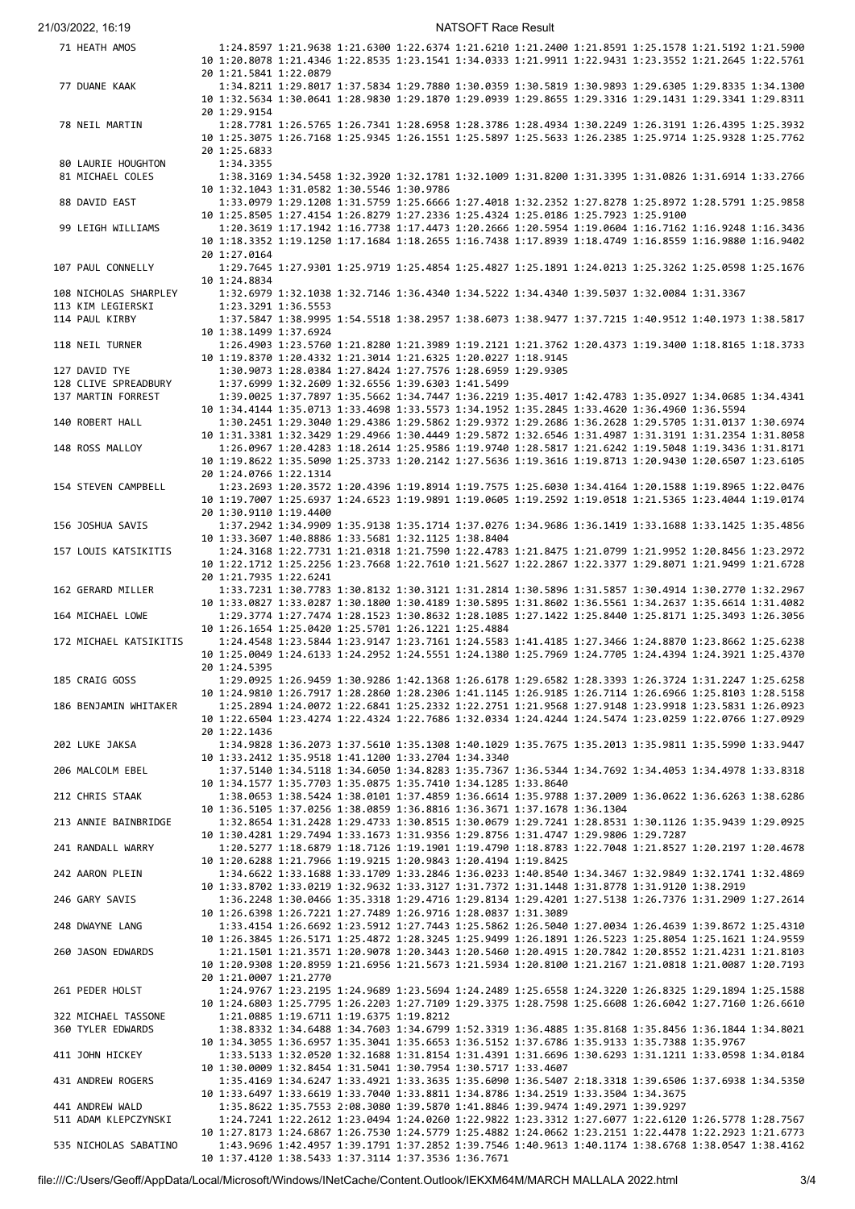21/03/2022, 16:19 NATSOFT Race Result

| 71 HEATH AMOS          |                                                                                                        |                                         |                                                                                                        |                                                   |                                                                                                     |  | 1:24.8597 1:21.9638 1:21.6300 1:22.6374 1:21.6210 1:21.2400 1:21.8591 1:25.1578 1:21.5192 1:21.5900 |  |
|------------------------|--------------------------------------------------------------------------------------------------------|-----------------------------------------|--------------------------------------------------------------------------------------------------------|---------------------------------------------------|-----------------------------------------------------------------------------------------------------|--|-----------------------------------------------------------------------------------------------------|--|
|                        | 10 1:20.8078 1:21.4346 1:22.8535 1:23.1541 1:34.0333 1:21.9911 1:22.9431 1:23.3552 1:21.2645 1:22.5761 |                                         |                                                                                                        |                                                   |                                                                                                     |  |                                                                                                     |  |
|                        | 20 1:21.5841 1:22.0879                                                                                 |                                         |                                                                                                        |                                                   |                                                                                                     |  |                                                                                                     |  |
| 77 DUANE KAAK          |                                                                                                        |                                         |                                                                                                        |                                                   | 1:34.8211 1:29.8017 1:37.5834 1:29.7880 1:30.0359 1:30.5819 1:30.9893 1:29.6305 1:29.8335 1:34.1300 |  |                                                                                                     |  |
|                        | 10 1:32.5634 1:30.0641 1:28.9830 1:29.1870 1:29.0939 1:29.8655 1:29.3316 1:29.1431 1:29.3341 1:29.8311 |                                         |                                                                                                        |                                                   |                                                                                                     |  |                                                                                                     |  |
|                        | 20 1:29.9154                                                                                           |                                         |                                                                                                        |                                                   |                                                                                                     |  |                                                                                                     |  |
| 78 NEIL MARTIN         |                                                                                                        |                                         |                                                                                                        |                                                   | 1:28.7781 1:26.5765 1:26.7341 1:28.6958 1:28.3786 1:28.4934 1:30.2249 1:26.3191 1:26.4395 1:25.3932 |  |                                                                                                     |  |
|                        | 10 1:25.3075 1:26.7168 1:25.9345 1:26.1551 1:25.5897 1:25.5633 1:26.2385 1:25.9714 1:25.9328 1:25.7762 |                                         |                                                                                                        |                                                   |                                                                                                     |  |                                                                                                     |  |
|                        | 20 1:25.6833                                                                                           |                                         |                                                                                                        |                                                   |                                                                                                     |  |                                                                                                     |  |
| 80 LAURIE HOUGHTON     | 1:34.3355                                                                                              |                                         |                                                                                                        |                                                   |                                                                                                     |  |                                                                                                     |  |
| 81 MICHAEL COLES       |                                                                                                        |                                         |                                                                                                        |                                                   | 1:38.3169 1:34.5458 1:32.3920 1:32.1781 1:32.1009 1:31.8200 1:31.3395 1:31.0826 1:31.6914 1:33.2766 |  |                                                                                                     |  |
|                        | 10 1:32.1043 1:31.0582 1:30.5546 1:30.9786                                                             |                                         |                                                                                                        |                                                   |                                                                                                     |  |                                                                                                     |  |
| 88 DAVID EAST          |                                                                                                        |                                         |                                                                                                        |                                                   | 1:33.0979 1:29.1208 1:31.5759 1:25.6666 1:27.4018 1:32.2352 1:27.8278 1:25.8972 1:28.5791 1:25.9858 |  |                                                                                                     |  |
|                        | 10 1:25.8505 1:27.4154 1:26.8279 1:27.2336 1:25.4324 1:25.0186 1:25.7923 1:25.9100                     |                                         |                                                                                                        |                                                   |                                                                                                     |  |                                                                                                     |  |
| 99 LEIGH WILLIAMS      |                                                                                                        |                                         |                                                                                                        |                                                   | 1:20.3619 1:17.1942 1:16.7738 1:17.4473 1:20.2666 1:20.5954 1:19.0604 1:16.7162 1:16.9248 1:16.3436 |  |                                                                                                     |  |
|                        | 10 1:18.3352 1:19.1250 1:17.1684 1:18.2655 1:16.7438 1:17.8939 1:18.4749 1:16.8559 1:16.9880 1:16.9402 |                                         |                                                                                                        |                                                   |                                                                                                     |  |                                                                                                     |  |
|                        | 20 1:27.0164                                                                                           |                                         |                                                                                                        |                                                   |                                                                                                     |  |                                                                                                     |  |
| 107 PAUL CONNELLY      |                                                                                                        |                                         |                                                                                                        |                                                   | 1:29.7645 1:27.9301 1:25.9719 1:25.4854 1:25.4827 1:25.1891 1:24.0213 1:25.3262 1:25.0598 1:25.1676 |  |                                                                                                     |  |
|                        | 10 1:24.8834                                                                                           |                                         |                                                                                                        |                                                   |                                                                                                     |  |                                                                                                     |  |
| 108 NICHOLAS SHARPLEY  |                                                                                                        |                                         |                                                                                                        |                                                   | 1:32.6979 1:32.1038 1:32.7146 1:36.4340 1:34.5222 1:34.4340 1:39.5037 1:32.0084 1:31.3367           |  |                                                                                                     |  |
| 113 KIM LEGIERSKI      | 1:23.3291 1:36.5553                                                                                    |                                         |                                                                                                        |                                                   |                                                                                                     |  |                                                                                                     |  |
| 114 PAUL KIRBY         |                                                                                                        |                                         |                                                                                                        |                                                   | 1:37.5847 1:38.9995 1:54.5518 1:38.2957 1:38.6073 1:38.9477 1:37.7215 1:40.9512 1:40.1973 1:38.5817 |  |                                                                                                     |  |
|                        | 10 1:38.1499 1:37.6924                                                                                 |                                         |                                                                                                        |                                                   |                                                                                                     |  |                                                                                                     |  |
| 118 NEIL TURNER        |                                                                                                        |                                         |                                                                                                        |                                                   | 1:26.4903 1:23.5760 1:21.8280 1:21.3989 1:19.2121 1:21.3762 1:20.4373 1:19.3400 1:18.8165 1:18.3733 |  |                                                                                                     |  |
|                        | 10 1:19.8370 1:20.4332 1:21.3014 1:21.6325 1:20.0227 1:18.9145                                         |                                         |                                                                                                        |                                                   |                                                                                                     |  |                                                                                                     |  |
| 127 DAVID TYE          |                                                                                                        |                                         |                                                                                                        |                                                   | 1:30.9073 1:28.0384 1:27.8424 1:27.7576 1:28.6959 1:29.9305                                         |  |                                                                                                     |  |
| 128 CLIVE SPREADBURY   |                                                                                                        |                                         |                                                                                                        | 1:37.6999 1:32.2609 1:32.6556 1:39.6303 1:41.5499 |                                                                                                     |  |                                                                                                     |  |
| 137 MARTIN FORREST     |                                                                                                        |                                         |                                                                                                        |                                                   | 1:39.0025 1:37.7897 1:35.5662 1:34.7447 1:36.2219 1:35.4017 1:42.4783 1:35.0927 1:34.0685 1:34.4341 |  |                                                                                                     |  |
|                        | 10 1:34.4144 1:35.0713 1:33.4698 1:33.5573 1:34.1952 1:35.2845 1:33.4620 1:36.4960 1:36.5594           |                                         |                                                                                                        |                                                   |                                                                                                     |  |                                                                                                     |  |
| 140 ROBERT HALL        |                                                                                                        |                                         |                                                                                                        |                                                   | 1:30.2451 1:29.3040 1:29.4386 1:29.5862 1:29.9372 1:29.2686 1:36.2628 1:29.5705 1:31.0137 1:30.6974 |  |                                                                                                     |  |
|                        | 10 1:31.3381 1:32.3429 1:29.4966 1:30.4449 1:29.5872 1:32.6546 1:31.4987 1:31.3191 1:31.2354 1:31.8058 |                                         |                                                                                                        |                                                   |                                                                                                     |  |                                                                                                     |  |
| 148 ROSS MALLOY        |                                                                                                        |                                         |                                                                                                        |                                                   | 1:26.0967 1:20.4283 1:18.2614 1:25.9586 1:19.9740 1:28.5817 1:21.6242 1:19.5048 1:19.3436 1:31.8171 |  |                                                                                                     |  |
|                        | 10 1:19.8622 1:35.5090 1:25.3733 1:20.2142 1:27.5636 1:19.3616 1:19.8713 1:20.9430 1:20.6507 1:23.6105 |                                         |                                                                                                        |                                                   |                                                                                                     |  |                                                                                                     |  |
|                        | 20 1:24.0766 1:22.1314                                                                                 |                                         |                                                                                                        |                                                   |                                                                                                     |  |                                                                                                     |  |
| 154 STEVEN CAMPBELL    |                                                                                                        |                                         |                                                                                                        |                                                   | 1:23.2693 1:20.3572 1:20.4396 1:19.8914 1:19.7575 1:25.6030 1:34.4164 1:20.1588 1:19.8965 1:22.0476 |  |                                                                                                     |  |
|                        | 10 1:19.7007 1:25.6937 1:24.6523 1:19.9891 1:19.0605 1:19.2592 1:19.0518 1:21.5365 1:23.4044 1:19.0174 |                                         |                                                                                                        |                                                   |                                                                                                     |  |                                                                                                     |  |
|                        | 20 1:30.9110 1:19.4400                                                                                 |                                         |                                                                                                        |                                                   |                                                                                                     |  |                                                                                                     |  |
| 156 JOSHUA SAVIS       |                                                                                                        |                                         |                                                                                                        |                                                   | 1:37.2942 1:34.9909 1:35.9138 1:35.1714 1:37.0276 1:34.9686 1:36.1419 1:33.1688 1:33.1425 1:35.4856 |  |                                                                                                     |  |
|                        | 10 1:33.3607 1:40.8886 1:33.5681 1:32.1125 1:38.8404                                                   |                                         |                                                                                                        |                                                   |                                                                                                     |  |                                                                                                     |  |
| 157 LOUIS KATSIKITIS   |                                                                                                        |                                         |                                                                                                        |                                                   | 1:24.3168 1:22.7731 1:21.0318 1:21.7590 1:22.4783 1:21.8475 1:21.0799 1:21.9952 1:20.8456 1:23.2972 |  |                                                                                                     |  |
|                        | 10 1:22.1712 1:25.2256 1:23.7668 1:22.7610 1:21.5627 1:22.2867 1:22.3377 1:29.8071 1:21.9499 1:21.6728 |                                         |                                                                                                        |                                                   |                                                                                                     |  |                                                                                                     |  |
|                        | 20 1:21.7935 1:22.6241                                                                                 |                                         |                                                                                                        |                                                   |                                                                                                     |  |                                                                                                     |  |
| 162 GERARD MILLER      |                                                                                                        |                                         |                                                                                                        |                                                   | 1:33.7231 1:30.7783 1:30.8132 1:30.3121 1:31.2814 1:30.5896 1:31.5857 1:30.4914 1:30.2770 1:32.2967 |  |                                                                                                     |  |
|                        | 10 1:33.0827 1:33.0287 1:30.1800 1:30.4189 1:30.5895 1:31.8602 1:36.5561 1:34.2637 1:35.6614 1:31.4082 |                                         |                                                                                                        |                                                   |                                                                                                     |  |                                                                                                     |  |
| 164 MICHAEL LOWE       |                                                                                                        |                                         |                                                                                                        |                                                   | 1:29.3774 1:27.7474 1:28.1523 1:30.8632 1:28.1085 1:27.1422 1:25.8440 1:25.8171 1:25.3493 1:26.3056 |  |                                                                                                     |  |
|                        | 10 1:26.1654 1:25.0420 1:25.5701 1:26.1221 1:25.4884                                                   |                                         |                                                                                                        |                                                   |                                                                                                     |  |                                                                                                     |  |
| 172 MICHAEL KATSIKITIS |                                                                                                        |                                         |                                                                                                        |                                                   | 1:24.4548 1:23.5844 1:23.9147 1:23.7161 1:24.5583 1:41.4185 1:27.3466 1:24.8870 1:23.8662 1:25.6238 |  |                                                                                                     |  |
|                        | 10 1:25.0049 1:24.6133 1:24.2952 1:24.5551 1:24.1380 1:25.7969 1:24.7705 1:24.4394 1:24.3921 1:25.4370 |                                         |                                                                                                        |                                                   |                                                                                                     |  |                                                                                                     |  |
|                        | 20 1:24.5395                                                                                           |                                         |                                                                                                        |                                                   |                                                                                                     |  |                                                                                                     |  |
|                        |                                                                                                        |                                         |                                                                                                        |                                                   |                                                                                                     |  |                                                                                                     |  |
| 185 CRAIG GOSS         |                                                                                                        |                                         |                                                                                                        |                                                   | 1:29.0925 1:26.9459 1:30.9286 1:42.1368 1:26.6178 1:29.6582 1:28.3393 1:26.3724 1:31.2247 1:25.6258 |  |                                                                                                     |  |
|                        |                                                                                                        |                                         |                                                                                                        |                                                   |                                                                                                     |  |                                                                                                     |  |
|                        |                                                                                                        |                                         | 10 1:24.9810 1:26.7917 1:28.2860 1:28.2306 1:41.1145 1:26.9185 1:26.7114 1:26.6966 1:25.8103 1:28.5158 |                                                   |                                                                                                     |  |                                                                                                     |  |
| 186 BENJAMIN WHITAKER  |                                                                                                        |                                         |                                                                                                        |                                                   | 1:25.2894 1:24.0072 1:22.6841 1:25.2332 1:22.2751 1:21.9568 1:27.9148 1:23.9918 1:23.5831 1:26.0923 |  |                                                                                                     |  |
|                        | 10 1:22.6504 1:23.4274 1:22.4324 1:22.7686 1:32.0334 1:24.4244 1:24.5474 1:23.0259 1:22.0766 1:27.0929 |                                         |                                                                                                        |                                                   |                                                                                                     |  |                                                                                                     |  |
|                        | 20 1:22.1436                                                                                           |                                         |                                                                                                        |                                                   |                                                                                                     |  |                                                                                                     |  |
| 202 LUKE JAKSA         |                                                                                                        |                                         |                                                                                                        |                                                   | 1:34.9828 1:36.2073 1:37.5610 1:35.1308 1:40.1029 1:35.7675 1:35.2013 1:35.9811 1:35.5990 1:33.9447 |  |                                                                                                     |  |
|                        | 10 1:33.2412 1:35.9518 1:41.1200 1:33.2704 1:34.3340                                                   |                                         |                                                                                                        |                                                   |                                                                                                     |  |                                                                                                     |  |
| 206 MALCOLM EBEL       |                                                                                                        |                                         |                                                                                                        |                                                   | 1:37.5140 1:34.5118 1:34.6050 1:34.8283 1:35.7367 1:36.5344 1:34.7692 1:34.4053 1:34.4978 1:33.8318 |  |                                                                                                     |  |
|                        | 10 1:34.1577 1:35.7703 1:35.0875 1:35.7410 1:34.1285 1:33.8640                                         |                                         |                                                                                                        |                                                   |                                                                                                     |  |                                                                                                     |  |
| 212 CHRIS STAAK        |                                                                                                        |                                         |                                                                                                        |                                                   | 1:38.0653 1:38.5424 1:38.0101 1:37.4859 1:36.6614 1:35.9788 1:37.2009 1:36.0622 1:36.6263 1:38.6286 |  |                                                                                                     |  |
|                        | 10 1:36.5105 1:37.0256 1:38.0859 1:36.8816 1:36.3671 1:37.1678 1:36.1304                               |                                         |                                                                                                        |                                                   |                                                                                                     |  |                                                                                                     |  |
| 213 ANNIE BAINBRIDGE   |                                                                                                        |                                         |                                                                                                        |                                                   | 1:32.8654 1:31.2428 1:29.4733 1:30.8515 1:30.0679 1:29.7241 1:28.8531 1:30.1126 1:35.9439 1:29.0925 |  |                                                                                                     |  |
|                        | 10 1:30.4281 1:29.7494 1:33.1673 1:31.9356 1:29.8756 1:31.4747 1:29.9806 1:29.7287                     |                                         |                                                                                                        |                                                   |                                                                                                     |  |                                                                                                     |  |
| 241 RANDALL WARRY      |                                                                                                        |                                         |                                                                                                        |                                                   | 1:20.5277 1:18.6879 1:18.7126 1:19.1901 1:19.4790 1:18.8783 1:22.7048 1:21.8527 1:20.2197 1:20.4678 |  |                                                                                                     |  |
|                        | 10 1:20.6288 1:21.7966 1:19.9215 1:20.9843 1:20.4194 1:19.8425                                         |                                         |                                                                                                        |                                                   |                                                                                                     |  |                                                                                                     |  |
| 242 AARON PLEIN        |                                                                                                        |                                         |                                                                                                        |                                                   | 1:34.6622 1:33.1688 1:33.1709 1:33.2846 1:36.0233 1:40.8540 1:34.3467 1:32.9849 1:32.1741 1:32.4869 |  |                                                                                                     |  |
|                        | 10 1:33.8702 1:33.0219 1:32.9632 1:33.3127 1:31.7372 1:31.1448 1:31.8778 1:31.9120 1:38.2919           |                                         |                                                                                                        |                                                   |                                                                                                     |  |                                                                                                     |  |
| 246 GARY SAVIS         |                                                                                                        |                                         |                                                                                                        |                                                   | 1:36.2248 1:30.0466 1:35.3318 1:29.4716 1:29.8134 1:29.4201 1:27.5138 1:26.7376 1:31.2909 1:27.2614 |  |                                                                                                     |  |
|                        | 10 1:26.6398 1:26.7221 1:27.7489 1:26.9716 1:28.0837 1:31.3089                                         |                                         |                                                                                                        |                                                   |                                                                                                     |  |                                                                                                     |  |
| 248 DWAYNE LANG        |                                                                                                        |                                         |                                                                                                        |                                                   | 1:33.4154 1:26.6692 1:23.5912 1:27.7443 1:25.5862 1:26.5040 1:27.0034 1:26.4639 1:39.8672 1:25.4310 |  |                                                                                                     |  |
|                        | 10 1:26.3845 1:26.5171 1:25.4872 1:28.3245 1:25.9499 1:26.1891 1:26.5223 1:25.8054 1:25.1621 1:24.9559 |                                         |                                                                                                        |                                                   |                                                                                                     |  |                                                                                                     |  |
| 260 JASON EDWARDS      |                                                                                                        |                                         |                                                                                                        |                                                   | 1:21.1501 1:21.3571 1:20.9078 1:20.3443 1:20.5460 1:20.4915 1:20.7842 1:20.8552 1:21.4231 1:21.8103 |  |                                                                                                     |  |
|                        | 10 1:20.9308 1:20.8959 1:21.6956 1:21.5673 1:21.5934 1:20.8100 1:21.2167 1:21.0818 1:21.0087 1:20.7193 |                                         |                                                                                                        |                                                   |                                                                                                     |  |                                                                                                     |  |
|                        | 20 1:21.0007 1:21.2770                                                                                 |                                         |                                                                                                        |                                                   |                                                                                                     |  |                                                                                                     |  |
| 261 PEDER HOLST        |                                                                                                        |                                         |                                                                                                        |                                                   | 1:24.9767 1:23.2195 1:24.9689 1:23.5694 1:24.2489 1:25.6558 1:24.3220 1:26.8325 1:29.1894 1:25.1588 |  |                                                                                                     |  |
|                        | 10 1:24.6803 1:25.7795 1:26.2203 1:27.7109 1:29.3375 1:28.7598 1:25.6608 1:26.6042 1:27.7160 1:26.6610 |                                         |                                                                                                        |                                                   |                                                                                                     |  |                                                                                                     |  |
| 322 MICHAEL TASSONE    |                                                                                                        | 1:21.0885 1:19.6711 1:19.6375 1:19.8212 |                                                                                                        |                                                   |                                                                                                     |  |                                                                                                     |  |
| 360 TYLER EDWARDS      |                                                                                                        |                                         |                                                                                                        |                                                   | 1:38.8332 1:34.6488 1:34.7603 1:34.6799 1:52.3319 1:36.4885 1:35.8168 1:35.8456 1:36.1844 1:34.8021 |  |                                                                                                     |  |
|                        | 10 1:34.3055 1:36.6957 1:35.3041 1:35.6653 1:36.5152 1:37.6786 1:35.9133 1:35.7388 1:35.9767           |                                         |                                                                                                        |                                                   |                                                                                                     |  |                                                                                                     |  |
| 411 JOHN HICKEY        |                                                                                                        |                                         |                                                                                                        |                                                   | 1:33.5133 1:32.0520 1:32.1688 1:31.8154 1:31.4391 1:31.6696 1:30.6293 1:31.1211 1:33.0598 1:34.0184 |  |                                                                                                     |  |
|                        | 10 1:30.0009 1:32.8454 1:31.5041 1:30.7954 1:30.5717 1:33.4607                                         |                                         |                                                                                                        |                                                   |                                                                                                     |  |                                                                                                     |  |
| 431 ANDREW ROGERS      |                                                                                                        |                                         |                                                                                                        |                                                   | 1:35.4169 1:34.6247 1:33.4921 1:33.3635 1:35.6090 1:36.5407 2:18.3318 1:39.6506 1:37.6938 1:34.5350 |  |                                                                                                     |  |
|                        | 10 1:33.6497 1:33.6619 1:33.7040 1:33.8811 1:34.8786 1:34.2519 1:33.3504 1:34.3675                     |                                         |                                                                                                        |                                                   |                                                                                                     |  |                                                                                                     |  |
| 441 ANDREW WALD        |                                                                                                        |                                         |                                                                                                        |                                                   | 1:35.8622 1:35.7553 2:08.3080 1:39.5870 1:41.8846 1:39.9474 1:49.2971 1:39.9297                     |  |                                                                                                     |  |
| 511 ADAM KLEPCZYNSKI   |                                                                                                        |                                         |                                                                                                        |                                                   | 1:24.7241 1:22.2612 1:23.0494 1:24.0260 1:22.9822 1:23.3312 1:27.6077 1:22.6120 1:26.5778 1:28.7567 |  |                                                                                                     |  |
|                        | 10 1:27.8173 1:24.6867 1:26.7530 1:24.5779 1:25.4882 1:24.0662 1:23.2151 1:22.4478 1:22.2923 1:21.6773 |                                         |                                                                                                        |                                                   |                                                                                                     |  |                                                                                                     |  |
| 535 NICHOLAS SABATINO  | 10 1:37.4120 1:38.5433 1:37.3114 1:37.3536 1:36.7671                                                   |                                         |                                                                                                        |                                                   | 1:43.9696 1:42.4957 1:39.1791 1:37.2852 1:39.7546 1:40.9613 1:40.1174 1:38.6768 1:38.0547 1:38.4162 |  |                                                                                                     |  |